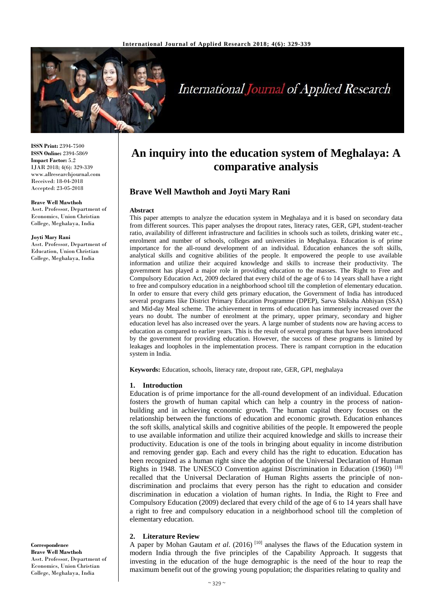

# **International Journal of Applied Research**

**ISSN Print:** 2394-7500 **ISSN Online:** 2394-5869 **Impact Factor:** 5.2 IJAR 2018; 4(6): 329-339 www.allresearchjournal.com Received: 18-04-2018 Accepted: 23-05-2018

#### **Brave Well Mawthoh**

Asst. Professor, Department of Economics, Union Christian College, Meghalaya, India

#### **Joyti Mary Rani**

Asst. Professor, Department of Education, Union Christian College, Meghalaya, India

#### **Correspondence Brave Well Mawthoh** Asst. Professor, Department of Economics, Union Christian College, Meghalaya, India

## **An inquiry into the education system of Meghalaya: A comparative analysis**

## **Brave Well Mawthoh and Joyti Mary Rani**

#### **Abstract**

This paper attempts to analyze the education system in Meghalaya and it is based on secondary data from different sources. This paper analyses the dropout rates, literacy rates, GER, GPI, student-teacher ratio, availability of different infrastructure and facilities in schools such as toilets, drinking water etc., enrolment and number of schools, colleges and universities in Meghalaya. Education is of prime importance for the all-round development of an individual. Education enhances the soft skills, analytical skills and cognitive abilities of the people. It empowered the people to use available information and utilize their acquired knowledge and skills to increase their productivity. The government has played a major role in providing education to the masses. The Right to Free and Compulsory Education Act, 2009 declared that every child of the age of 6 to 14 years shall have a right to free and compulsory education in a neighborhood school till the completion of elementary education. In order to ensure that every child gets primary education, the Government of India has introduced several programs like District Primary Education Programme (DPEP), Sarva Shiksha Abhiyan (SSA) and Mid-day Meal scheme. The achievement in terms of education has immensely increased over the years no doubt. The number of enrolment at the primary, upper primary, secondary and higher education level has also increased over the years. A large number of students now are having access to education as compared to earlier years. This is the result of several programs that have been introduced by the government for providing education. However, the success of these programs is limited by leakages and loopholes in the implementation process. There is rampant corruption in the education system in India.

**Keywords:** Education, schools, literacy rate, dropout rate, GER, GPI, meghalaya

#### **1. Introduction**

Education is of prime importance for the all-round development of an individual. Education fosters the growth of human capital which can help a country in the process of nationbuilding and in achieving economic growth. The human capital theory focuses on the relationship between the functions of education and economic growth. Education enhances the soft skills, analytical skills and cognitive abilities of the people. It empowered the people to use available information and utilize their acquired knowledge and skills to increase their productivity. Education is one of the tools in bringing about equality in income distribution and removing gender gap. Each and every child has the right to education. Education has been recognized as a human right since the adoption of the Universal Declaration of Human Rights in 1948. The UNESCO Convention against Discrimination in Education (1960)<sup>[18]</sup> recalled that the Universal Declaration of Human Rights asserts the principle of nondiscrimination and proclaims that every person has the right to education and consider discrimination in education a violation of human rights. In India, the Right to Free and Compulsory Education (2009) declared that every child of the age of 6 to 14 years shall have a right to free and compulsory education in a neighborhood school till the completion of elementary education.

#### **2. Literature Review**

A paper by Mohan Gautam *et al.* (2016)<sup>[10]</sup> analyses the flaws of the Education system in modern India through the five principles of the Capability Approach. It suggests that investing in the education of the huge demographic is the need of the hour to reap the maximum benefit out of the growing young population; the disparities relating to quality and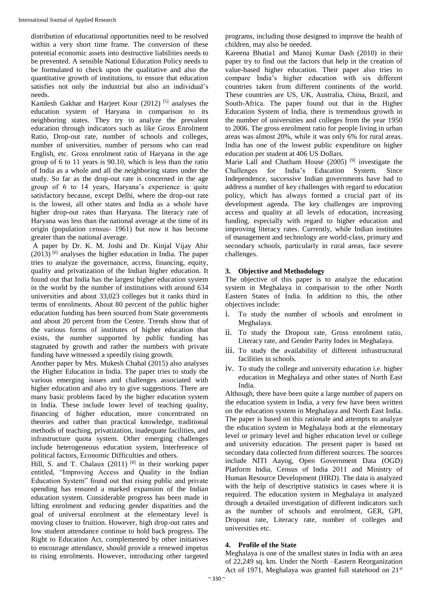distribution of educational opportunities need to be resolved within a very short time frame. The conversion of these potential economic assets into destructive liabilities needs to be prevented. A sensible National Education Policy needs to be formulated to check upon the qualitative and also the quantitative growth of institutions, to ensure that education satisfies not only the industrial but also an individual's needs.

Kamlesh Gakhar and Harjeet Kour (2012)<sup>[5]</sup> analyses the education system of Haryana in comparison to its neighboring states. They try to analyze the prevalent education through indicators such as like Gross Enrolment Ratio, Drop-out rate, number of schools and colleges, number of universities, number of persons who can read English, etc. Gross enrolment ratio of Haryana in the age group of 6 to 11 years is 90.10, which is less than the ratio of India as a whole and all the neighboring states under the study. So far as the drop-out rate is concerned in the age group of 6 to 14 years, Haryana's experience is quite satisfactory because, except Delhi, where the drop-out rate is the lowest, all other states and India as a whole have higher drop-out rates than Haryana. The literacy rate of Haryana was less than the national average at the time of its origin (population census- 1961) but now it has become greater than the national average.

A paper by Dr. K. M. Joshi and Dr. Kinjal Vijay Ahir  $(2013)$ <sup>[6]</sup> analyses the higher education in India. The paper tries to analyze the governance, access, financing, equity, quality and privatization of the Indian higher education. It found out that India has the largest higher education system in the world by the number of institutions with around 634 universities and about 33,023 colleges but it ranks third in terms of enrolments. About 80 percent of the public higher education funding has been sourced from State governments and about 20 percent from the Centre. Trends show that of the various forms of institutes of higher education that exists, the number supported by public funding has stagnated by growth and rather the numbers with private funding have witnessed a speedily rising growth.

Another paper by Mrs. Mukesh Chahal (2015) also analyses the Higher Education in India. The paper tries to study the various emerging issues and challenges associated with higher education and also try to give suggestions. There are many basic problems faced by the higher education system in India. These include lower level of teaching quality, financing of higher education, more concentrated on theories and rather than practical knowledge, traditional methods of teaching, privatization, inadequate facilities, and infrastructure quota system. Other emerging challenges include heterogeneous education system, Interference of political factors, Economic Difficulties and others.

Hill, S. and T. Chalaux (2011) [8] in their working paper entitled, "Improving Access and Quality in the Indian Education System" found out that rising public and private spending has ensured a marked expansion of the Indian education system. Considerable progress has been made in lifting enrolment and reducing gender disparities and the goal of universal enrolment at the elementary level is moving closer to fruition. However, high drop-out rates and low student attendance continue to hold back progress. The Right to Education Act, complemented by other initiatives to encourage attendance, should provide a renewed impetus to rising enrolments. However, introducing other targeted

programs, including those designed to improve the health of children, may also be needed.

Kareena Bhatia1 and Manoj Kumar Dash (2010) in their paper try to find out the factors that help in the creation of value-based higher education. Their paper also tries to compare India's higher education with six different countries taken from different continents of the world. These countries are US, UK, Australia, China, Brazil, and South-Africa. The paper found out that in the Higher Education System of India, there is tremendous growth in the number of universities and colleges from the year 1950 to 2006. The gross enrolment ratio for people living in urban areas was almost 20%, while it was only 6% for rural areas. India has one of the lowest public expenditure on higher education per student at 406 US Dollars.

Marie Lall and Chatham House (2005)<sup>[9]</sup> investigate the Challenges for India's Education System. Since Independence, successive Indian governments have had to address a number of key challenges with regard to education policy, which has always formed a crucial part of its development agenda. The key challenges are improving access and quality at all levels of education, increasing funding, especially with regard to higher education and improving literacy rates. Currently, while Indian institutes of management and technology are world-class, primary and secondary schools, particularly in rural areas, face severe challenges.

## **3. Objective and Methodology**

The objective of this paper is to analyze the education system in Meghalaya in comparison to the other North Eastern States of India. In addition to this, the other objectives include:

- i. To study the number of schools and enrolment in Meghalaya.
- ii. To study the Dropout rate, Gross enrolment ratio, Literacy rate, and Gender Parity Index in Meghalaya.
- iii. To study the availability of different infrastructural facilities in schools.
- iv. To study the college and university education i.e. higher education in Meghalaya and other states of North East India.

Although, there have been quite a large number of papers on the education system in India, a very few have been written on the education system in Meghalaya and North East India. The paper is based on this rationale and attempts to analyze the education system in Meghalaya both at the elementary level or primary level and higher education level or college and university education. The present paper is based on secondary data collected from different sources. The sources include NITI Aayog, Open Government Data (OGD) Platform India, Census of India 2011 and Ministry of Human Resource Development (HRD). The data is analyzed with the help of descriptive statistics in cases where it is required. The education system in Meghalaya in analyzed through a detailed investigation of different indicators such as the number of schools and enrolment, GER, GPI, Dropout rate, Literacy rate, number of colleges and universities etc.

## **4. Profile of the State**

Meghalaya is one of the smallest states in India with an area of 22,249 sq. km. Under the North –Eastern Reorganization Act of 1971, Meghalaya was granted full statehood on 21<sup>st</sup>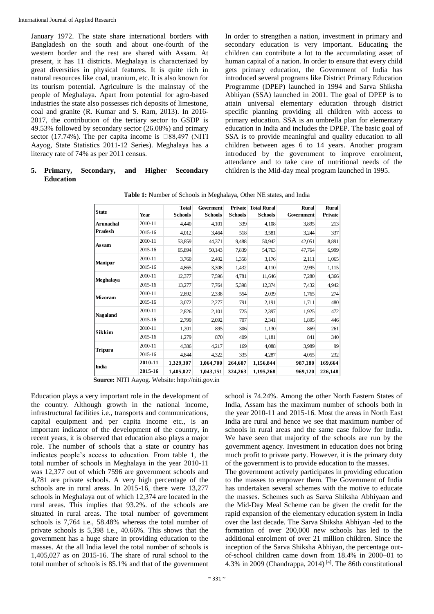January 1972. The state share international borders with Bangladesh on the south and about one-fourth of the western border and the rest are shared with Assam. At present, it has 11 districts. Meghalaya is characterized by great diversities in physical features. It is quite rich in natural resources like coal, uranium, etc. It is also known for its tourism potential. Agriculture is the mainstay of the people of Meghalaya. Apart from potential for agro-based industries the state also possesses rich deposits of limestone, coal and granite (R. Kumar and S. Ram, 2013). In 2016- 2017, the contribution of the tertiary sector to GSDP is 49.53% followed by secondary sector (26.08%) and primary sector (17.74%). The per capita income is  $\square 88,497$  (NITI Aayog, State Statistics 2011-12 Series). Meghalaya has a literacy rate of 74% as per 2011 census.

#### **5. Primary, Secondary, and Higher Secondary Education**

In order to strengthen a nation, investment in primary and secondary education is very important. Educating the children can contribute a lot to the accumulating asset of human capital of a nation. In order to ensure that every child gets primary education, the Government of India has introduced several programs like District Primary Education Programme (DPEP) launched in 1994 and Sarva Shiksha Abhiyan (SSA) launched in 2001. The goal of DPEP is to attain universal elementary education through district specific planning providing all children with access to primary education. SSA is an umbrella plan for elementary education in India and includes the DPEP. The basic goal of SSA is to provide meaningful and quality education to all children between ages 6 to 14 years. Another program introduced by the government to improve enrolment, attendance and to take care of nutritional needs of the children is the Mid-day meal program launched in 1995.

| <b>State</b>                                                                                                                                               | Year    | <b>Total</b><br><b>Schools</b>                              | Goverment<br><b>Schools</b> | <b>Schools</b>                                                                                                                                                                                                                                | Private Total Rural<br><b>Schools</b> | <b>Rural</b><br>Government | <b>Rural</b><br>Private |                                                                                                                                                                                                                                               |  |  |
|------------------------------------------------------------------------------------------------------------------------------------------------------------|---------|-------------------------------------------------------------|-----------------------------|-----------------------------------------------------------------------------------------------------------------------------------------------------------------------------------------------------------------------------------------------|---------------------------------------|----------------------------|-------------------------|-----------------------------------------------------------------------------------------------------------------------------------------------------------------------------------------------------------------------------------------------|--|--|
| Arunachal                                                                                                                                                  | 2010-11 | 4,440                                                       | 4,101                       | 339                                                                                                                                                                                                                                           | 4,108                                 | 3,895                      | 213                     |                                                                                                                                                                                                                                               |  |  |
| Pradesh                                                                                                                                                    | 2015-16 | 4,012                                                       | 3,464                       | 518                                                                                                                                                                                                                                           | 3,581                                 | 3,244                      | 337                     |                                                                                                                                                                                                                                               |  |  |
|                                                                                                                                                            | 2010-11 | 53,859                                                      | 44,371                      | 9,488                                                                                                                                                                                                                                         | 50,942                                | 42,051                     | 8,891                   |                                                                                                                                                                                                                                               |  |  |
| Assam                                                                                                                                                      | 2015-16 | 65,894                                                      | 50,143                      | 7,839                                                                                                                                                                                                                                         | 54,763                                | 47,764                     | 6,999                   |                                                                                                                                                                                                                                               |  |  |
|                                                                                                                                                            | 2010-11 | 3,760                                                       | 2,402                       | 1,358                                                                                                                                                                                                                                         | 3,176                                 | 2,111                      | 1,065                   |                                                                                                                                                                                                                                               |  |  |
| Manipur                                                                                                                                                    | 2015-16 | 4,865                                                       | 3,308                       | 1,432                                                                                                                                                                                                                                         | 4,110                                 | 2,995                      | 1,115                   |                                                                                                                                                                                                                                               |  |  |
|                                                                                                                                                            | 2010-11 | 12,377                                                      | 7,596                       | 4,781                                                                                                                                                                                                                                         | 11,646                                | 7,280                      | 4,366                   |                                                                                                                                                                                                                                               |  |  |
| Meghalaya                                                                                                                                                  | 2015-16 | 13,277                                                      | 7,764                       | 5,398                                                                                                                                                                                                                                         | 12,374                                | 7,432                      | 4,942                   |                                                                                                                                                                                                                                               |  |  |
|                                                                                                                                                            | 2010-11 | 2,892                                                       | 2,338                       | 554                                                                                                                                                                                                                                           | 2,039                                 | 1,765                      | 274                     |                                                                                                                                                                                                                                               |  |  |
| Mizoram                                                                                                                                                    | 2015-16 | 3,072                                                       | 2,277                       | 791                                                                                                                                                                                                                                           | 2,191                                 | 1,711                      | 480                     |                                                                                                                                                                                                                                               |  |  |
|                                                                                                                                                            | 2010-11 | 2,826                                                       | 2,101                       | 725                                                                                                                                                                                                                                           | 2,397                                 | 1,925                      | 472                     |                                                                                                                                                                                                                                               |  |  |
| Nagaland                                                                                                                                                   | 2015-16 | 2,799                                                       | 2,092                       | 707                                                                                                                                                                                                                                           | 2,341                                 | 1,895                      | 446                     |                                                                                                                                                                                                                                               |  |  |
|                                                                                                                                                            | 2010-11 | 1,201                                                       | 895                         | 306                                                                                                                                                                                                                                           | 1,130                                 | 869                        | 261                     |                                                                                                                                                                                                                                               |  |  |
| Sikkim                                                                                                                                                     | 2015-16 | 1,279                                                       | 870                         | 409                                                                                                                                                                                                                                           | 1,181                                 | 841                        | 340                     |                                                                                                                                                                                                                                               |  |  |
|                                                                                                                                                            | 2010-11 | 4,386                                                       | 4,217                       | 169                                                                                                                                                                                                                                           | 4,088                                 | 3,989                      | 99                      |                                                                                                                                                                                                                                               |  |  |
| Tripura                                                                                                                                                    | 2015-16 | 4,844                                                       | 4,322                       | 335                                                                                                                                                                                                                                           | 4,287                                 | 4,055                      | 232                     |                                                                                                                                                                                                                                               |  |  |
| India                                                                                                                                                      | 2010-11 | 1,329,307                                                   | 1,064,700                   | 264,607                                                                                                                                                                                                                                       | 1,156,844                             | 987,180                    | 169,664                 |                                                                                                                                                                                                                                               |  |  |
|                                                                                                                                                            | 2015-16 | 1,405,027                                                   | 1,043,151                   | 324,263                                                                                                                                                                                                                                       | 1,195,268                             | 969,120                    | 226,148                 |                                                                                                                                                                                                                                               |  |  |
| gh growth in the national income,<br>es i.e., transports and communications,<br>and per capita income etc., is an<br>of the development of the country, in |         |                                                             |                             |                                                                                                                                                                                                                                               |                                       |                            |                         | India, Assam has the maximum number of schools both in<br>the year 2010-11 and 2015-16. Most the areas in North East<br>India are rural and hence we see that maximum number of<br>schools in rural areas and the same case follow for India. |  |  |
| erved that education also plays a major                                                                                                                    |         |                                                             |                             |                                                                                                                                                                                                                                               |                                       |                            |                         | We have seen that majority of the schools are run by the                                                                                                                                                                                      |  |  |
| f schools that a state or country has                                                                                                                      |         |                                                             |                             | government agency. Investment in education does not bring                                                                                                                                                                                     |                                       |                            |                         |                                                                                                                                                                                                                                               |  |  |
| cess to education. From table 1, the                                                                                                                       |         |                                                             |                             |                                                                                                                                                                                                                                               |                                       |                            |                         | much profit to private party. However, it is the primary duty                                                                                                                                                                                 |  |  |
| ols in Meghalaya in the year 2010-11                                                                                                                       |         |                                                             |                             | of the government is to provide education to the masses.                                                                                                                                                                                      |                                       |                            |                         |                                                                                                                                                                                                                                               |  |  |
| hich 7596 are government schools and                                                                                                                       |         |                                                             |                             | The government actively participates in providing education<br>to the masses to empower them. The Government of India                                                                                                                         |                                       |                            |                         |                                                                                                                                                                                                                                               |  |  |
| hools. A very high percentage of the<br>areas. In 2015-16, there were 13,277                                                                               |         |                                                             |                             |                                                                                                                                                                                                                                               |                                       |                            |                         |                                                                                                                                                                                                                                               |  |  |
| out of which 12,374 are located in the                                                                                                                     |         |                                                             |                             | has undertaken several schemes with the motive to educate<br>the masses. Schemes such as Sarva Shiksha Abhiyaan and<br>the Mid-Day Meal Scheme can be given the credit for the<br>rapid expansion of the elementary education system in India |                                       |                            |                         |                                                                                                                                                                                                                                               |  |  |
| plies that 93.2%. of the schools are                                                                                                                       |         |                                                             |                             |                                                                                                                                                                                                                                               |                                       |                            |                         |                                                                                                                                                                                                                                               |  |  |
| as. The total number of government                                                                                                                         |         |                                                             |                             |                                                                                                                                                                                                                                               |                                       |                            |                         |                                                                                                                                                                                                                                               |  |  |
| 58.48% whereas the total number of                                                                                                                         |         | over the last decade. The Sarva Shiksha Abhiyan -led to the |                             |                                                                                                                                                                                                                                               |                                       |                            |                         |                                                                                                                                                                                                                                               |  |  |
| 398 i.e., 40.66%. This shows that the                                                                                                                      |         |                                                             |                             | formation of over 200,000 new schools has led to the                                                                                                                                                                                          |                                       |                            |                         |                                                                                                                                                                                                                                               |  |  |
| ge share in providing education to the                                                                                                                     |         |                                                             |                             | additional enrolment of over 21 million children. Since the                                                                                                                                                                                   |                                       |                            |                         |                                                                                                                                                                                                                                               |  |  |
| dia level the total number of schools is                                                                                                                   |         |                                                             |                             |                                                                                                                                                                                                                                               |                                       |                            |                         | inception of the Sarva Shiksha Abhiyan, the percentage out-                                                                                                                                                                                   |  |  |
| 5-16. The share of rural school to the                                                                                                                     |         |                                                             |                             |                                                                                                                                                                                                                                               |                                       |                            |                         | of-school children came down from 18.4% in 2000–01 to                                                                                                                                                                                         |  |  |
| ols is 85.1% and that of the government                                                                                                                    |         |                                                             |                             |                                                                                                                                                                                                                                               |                                       |                            |                         | 4.3% in 2009 (Chandrappa, 2014) <sup>[4]</sup> . The 86th constitutional                                                                                                                                                                      |  |  |

**Table 1:** Number of Schools in Meghalaya, Other NE states, and India

Education plays a very important role in the development of the country. Although growth in the national income, infrastructural facilities i.e., transports and communications, capital equipment and per capita income etc., is an important indicator of the development of the country, in recent years, it is observed that education also plays a major role. The number of schools that a state or country has indicates people's access to education. From table 1, the total number of schools in Meghalaya in the year 2010-11 was 12,377 out of which 7596 are government schools and 4,781 are private schools. A very high percentage of the schools are in rural areas. In 2015-16, there were 13,277 schools in Meghalaya out of which 12,374 are located in the rural areas. This implies that 93.2%. of the schools are situated in rural areas. The total number of government schools is 7,764 i.e., 58.48% whereas the total number of private schools is 5,398 i.e., 40.66%. This shows that the government has a huge share in providing education to the masses. At the all India level the total number of schools is 1,405,027 as on 2015-16. The share of rural school to the total number of schools is 85.1% and that of the government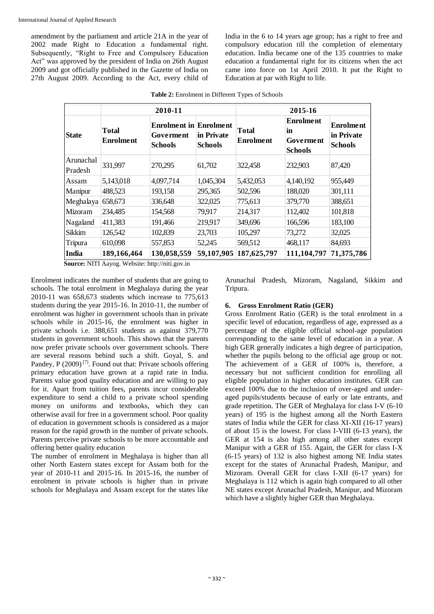amendment by the parliament and article 21A in the year of 2002 made Right to Education a fundamental right. Subsequently, "Right to Free and Compulsory Education Act" was approved by the president of India on 26th August 2009 and got officially published in the Gazette of India on 27th August 2009. According to the Act, every child of India in the 6 to 14 years age group; has a right to free and compulsory education till the completion of elementary education. India became one of the 135 countries to make education a fundamental right for its citizens when the act came into force on 1st April 2010. It put the Right to Education at par with Right to life.

|                      |                    | 2010-11                                                                               |            | 2015-16                   |                                                              |                                                  |  |  |
|----------------------|--------------------|---------------------------------------------------------------------------------------|------------|---------------------------|--------------------------------------------------------------|--------------------------------------------------|--|--|
| <b>State</b>         | Total<br>Enrolment | <b>Enrolment in Enrolment</b><br>in Private<br>Goverment<br><b>Schools</b><br>Schools |            | Total<br><b>Enrolment</b> | <b>Enrolment</b><br>in<br><b>Goverment</b><br><b>Schools</b> | <b>Enrolment</b><br>in Private<br><b>Schools</b> |  |  |
| Arunachal<br>Pradesh | 331,997            | 270,295                                                                               | 61,702     | 322,458                   | 232,903                                                      | 87,420                                           |  |  |
| Assam                | 5,143,018          | 4,097,714                                                                             | 1,045,304  | 5,432,053                 | 4,140,192                                                    | 955,449                                          |  |  |
| Manipur              | 488,523            | 193,158                                                                               | 295,365    | 502,596                   | 188,020                                                      | 301,111                                          |  |  |
| Meghalaya            | 658,673            | 336,648                                                                               | 322,025    | 775,613                   | 379,770                                                      | 388,651                                          |  |  |
| Mizoram              | 234,485            | 154,568                                                                               | 79,917     | 214,317                   | 112,402                                                      | 101,818                                          |  |  |
| Nagaland             | 411,383            | 191,466                                                                               | 219,917    | 349,696                   | 166,596                                                      | 183,100                                          |  |  |
| Sikkim               | 126,542            | 102,839                                                                               | 23,703     | 105,297                   | 73,272                                                       | 32,025                                           |  |  |
| Tripura              | 610,098            | 557,853                                                                               | 52,245     | 569,512                   | 468,117                                                      | 84,693                                           |  |  |
| India                | 189,166,464        | 130,058,559                                                                           | 59,107,905 | 187,625,797               | 111,104,797                                                  | 71,375,786                                       |  |  |

**Table 2:** Enrolment in Different Types of Schools

**Source:** NITI Aayog. Website: http://niti.gov.in Source: NITI Aayog. Website: http://niti.gov.in

Enrolment indicates the number of students that are going to schools. The total enrolment in Meghalaya during the year 2010-11 was 658,673 students which increase to 775,613 students during the year 2015-16. In 2010-11, the number of enrolment was higher in government schools than in private schools while in 2015-16, the enrolment was higher in private schools i.e. 388,651 students as against 379,770 students in government schools. This shows that the parents now prefer private schools over government schools. There are several reasons behind such a shift. Goyal, S. and Pandey, P (2009)<sup>[7]</sup>. Found out that: Private schools offering primary education have grown at a rapid rate in India. Parents value good quality education and are willing to pay for it. Apart from tuition fees, parents incur considerable expenditure to send a child to a private school spending money on uniforms and textbooks, which they can otherwise avail for free in a government school. Poor quality of education in government schools is considered as a major reason for the rapid growth in the number of private schools. Parents perceive private schools to be more accountable and offering better quality education

The number of enrolment in Meghalaya is higher than all other North Eastern states except for Assam both for the year of 2010-11 and 2015-16. In 2015-16, the number of enrolment in private schools is higher than in private schools for Meghalaya and Assam except for the states like

Arunachal Pradesh, Mizoram, Nagaland, Sikkim and Tripura.

#### **6. Gross Enrolment Ratio (GER)**

Gross Enrolment Ratio (GER) is the total enrolment in a specific level of education, regardless of age, expressed as a percentage of the eligible official school-age population corresponding to the same level of education in a year. A high GER generally indicates a high degree of participation, whether the pupils belong to the official age group or not. The achievement of a GER of 100% is, therefore, a necessary but not sufficient condition for enrolling all eligible population in higher education institutes. GER can exceed 100% due to the inclusion of over-aged and underaged pupils/students because of early or late entrants, and grade repetition. The GER of Meghalaya for class I-V (6-10 years) of 195 is the highest among all the North Eastern states of India while the GER for class XI-XII (16-17 years) of about 15 is the lowest. For class I-VIII (6-13 years), the GER at 154 is also high among all other states except Manipur with a GER of 155. Again, the GER for class I-X (6-15 years) of 132 is also highest among NE India states except for the states of Arunachal Pradesh, Manipur, and Mizoram. Overall GER for class I-XII (6-17 years) for Meghalaya is 112 which is again high compared to all other NE states except Arunachal Pradesh, Manipur, and Mizoram which have a slightly higher GER than Meghalaya.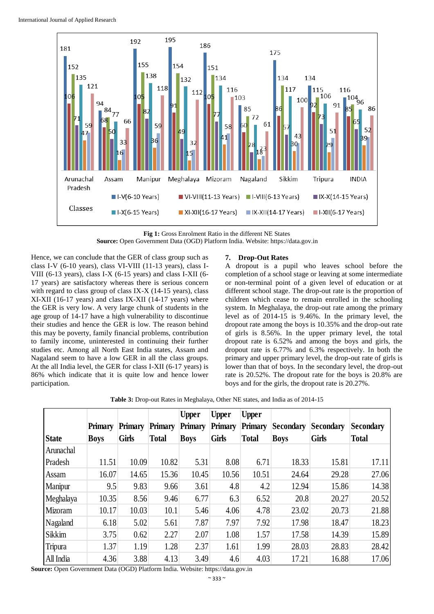

**Fig 1:** Gross Enrolment Ratio in the different NE States **Source:** Open Government Data (OGD) Platform India. Website: https://data.gov.in

Hence, we can conclude that the GER of class group such as class I-V (6-10 years), class VI-VIII (11-13 years), class I-VIII (6-13 years), class I-X (6-15 years) and class I-XII (6- 17 years) are satisfactory whereas there is serious concern with regard to class group of class IX-X (14-15 years), class XI-XII (16-17 years) and class IX-XII (14-17 years) where the GER is very low. A very large chunk of students in the age group of 14-17 have a high vulnerability to discontinue their studies and hence the GER is low. The reason behind this may be poverty, family financial problems, contribution to family income, uninterested in continuing their further studies etc. Among all North East India states, Assam and Nagaland seem to have a low GER in all the class groups. At the all India level, the GER for class I-XII (6-17 years) is 86% which indicate that it is quite low and hence lower participation.

## **7. Drop-Out Rates**

A dropout is a pupil who leaves school before the completion of a school stage or leaving at some intermediate or non-terminal point of a given level of education or at different school stage. The drop-out rate is the proportion of children which cease to remain enrolled in the schooling system. In Meghalaya, the drop-out rate among the primary level as of 2014-15 is 9.46%. In the primary level, the dropout rate among the boys is 10.35% and the drop-out rate of girls is 8.56%. In the upper primary level, the total dropout rate is 6.52% and among the boys and girls, the dropout rate is 6.77% and 6.3% respectively. In both the primary and upper primary level, the drop-out rate of girls is lower than that of boys. In the secondary level, the drop-out rate is 20.52%. The dropout rate for the boys is 20.8% are boys and for the girls, the dropout rate is 20.27%.

Table 3: Drop-out Rates in Meghalaya, Other NE states, and India as of 2014-15

|              |             |              |              | Upper       | <b>Upper</b> | <b>Upper</b>   |                  |                  |                  |
|--------------|-------------|--------------|--------------|-------------|--------------|----------------|------------------|------------------|------------------|
|              | Primary     | Primary      | Primary      | Primary     | Primary      | <b>Primary</b> | <b>Secondary</b> | <b>Secondary</b> | <b>Secondary</b> |
| <b>State</b> | <b>Boys</b> | <b>Girls</b> | <b>Total</b> | <b>Boys</b> | <b>Girls</b> | <b>Total</b>   | <b>Boys</b>      | <b>Girls</b>     | <b>Total</b>     |
| Arunachal    |             |              |              |             |              |                |                  |                  |                  |
| Pradesh      | 11.51       | 10.09        | 10.82        | 5.31        | 8.08         | 6.71           | 18.33            | 15.81            | 17.11            |
| Assam        | 16.07       | 14.65        | 15.36        | 10.45       | 10.56        | 10.51          | 24.64            | 29.28            | 27.06            |
| Manipur      | 9.5         | 9.83         | 9.66         | 3.61        | 4.8          | 4.2            | 12.94            | 15.86            | 14.38            |
| Meghalaya    | 10.35       | 8.56         | 9.46         | 6.77        | 6.3          | 6.52           | 20.8             | 20.27            | 20.52            |
| Mizoram      | 10.17       | 10.03        | 10.1         | 5.46        | 4.06         | 4.78           | 23.02            | 20.73            | 21.88            |
| Nagaland     | 6.18        | 5.02         | 5.61         | 7.87        | 7.97         | 7.92           | 17.98            | 18.47            | 18.23            |
| Sikkim       | 3.75        | 0.62         | 2.27         | 2.07        | 1.08         | 1.57           | 17.58            | 14.39            | 15.89            |
| Tripura      | 1.37        | 1.19         | 1.28         | 2.37        | 1.61         | 1.99           | 28.03            | 28.83            | 28.42            |
| All India    | 4.36        | 3.88         | 4.13         | 3.49        | 4.6          | 4.03           | 17.21            | 16.88            | 17.06            |

Source: Open Government Data (OGD) Platform India. Website: https://data.gov.in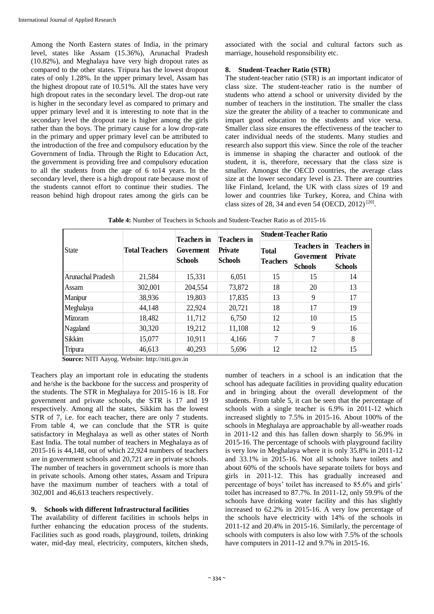Among the North Eastern states of India, in the primary level, states like Assam (15.36%), Arunachal Pradesh (10.82%), and Meghalaya have very high dropout rates as compared to the other states. Tripura has the lowest dropout rates of only 1.28%. In the upper primary level, Assam has the highest dropout rate of 10.51%. All the states have very high dropout rates in the secondary level. The drop-out rate is higher in the secondary level as compared to primary and upper primary level and it is interesting to note that in the secondary level the dropout rate is higher among the girls rather than the boys. The primary cause for a low drop-rate in the primary and upper primary level can be attributed to the introduction of the free and compulsory education by the Government of India. Through the Right to Education Act, the government is providing free and compulsory education to all the students from the age of 6 to14 years. In the secondary level, there is a high dropout rate because most of the students cannot effort to continue their studies. The reason behind high dropout rates among the girls can be

associated with the social and cultural factors such as marriage, household responsibility etc.

### **8. Student-Teacher Ratio (STR)**

The student-teacher ratio (STR) is an important indicator of class size. The student-teacher ratio is the number of students who attend a school or university divided by the number of teachers in the institution. The smaller the class size the greater the ability of a teacher to communicate and impart good education to the students and vice versa. Smaller class size ensures the effectiveness of the teacher to cater individual needs of the students. Many studies and research also support this view. Since the role of the teacher is immense in shaping the character and outlook of the student, it is, therefore, necessary that the class size is smaller. Amongst the OECD countries, the average class size at the lower secondary level is 23. There are countries like Finland, Iceland, the UK with class sizes of 19 and lower and countries like Turkey, Korea, and China with class sizes of 28, 34 and even 54 (OECD, 2012)<sup>[20]</sup>.

|                     |                       | <b>Teachers</b> in          | <b>Teachers</b> in               | <b>Student-Teacher Ratio</b>    |                                                   |                                                        |  |  |
|---------------------|-----------------------|-----------------------------|----------------------------------|---------------------------------|---------------------------------------------------|--------------------------------------------------------|--|--|
| State               | <b>Total Teachers</b> | Goverment<br><b>Schools</b> | <b>Private</b><br><b>Schools</b> | <b>Total</b><br><b>Teachers</b> | <b>Teachers</b> in<br>Goverment<br><b>Schools</b> | <b>Teachers</b> in<br><b>Private</b><br><b>Schools</b> |  |  |
| l Arunachal Pradesh | 21,584                | 15,331                      | 6,051                            | 15                              | 15                                                | 14                                                     |  |  |
| l Assam             | 302,001               | 204,554                     | 73,872                           | 18                              | 20                                                | 13                                                     |  |  |
| Manipur             | 38,936                | 19,803                      | 17,835                           | 13                              | 9                                                 | 17                                                     |  |  |
| Meghalaya           | 44,148                | 22,924                      | 20,721                           | 18                              | 17                                                | 19                                                     |  |  |
| Mizoram             | 18,482                | 11,712                      | 6,750                            | 12                              | 10                                                | 15                                                     |  |  |
| Nagaland            | 30,320                | 19,212                      | 11,108                           | 12                              | 9                                                 | 16                                                     |  |  |
| <b>Sikkim</b>       | 15,077                | 10,911                      | 4,166                            | 7                               | 7                                                 | 8                                                      |  |  |
| Tripura             | 46,613<br>.           | 40,293                      | 5,696                            | 12                              | 12                                                | 15                                                     |  |  |

**Table 4:** Number of Teachers in Schools and Student-Teacher Ratio as of 2015-16 Table 4. Number of Teachers in Schools and Student-Teacher Ratio as of 2015-16

**Source:** NITI Aayog. Website: http://niti.gov.in Source: NITI Aayog. Website: http://niti.gov.in

Teachers play an important role in educating the students and he/she is the backbone for the success and prosperity of the students. The STR in Meghalaya for 2015-16 is 18. For government and private schools, the STR is 17 and 19 respectively. Among all the states, Sikkim has the lowest STR of 7, i.e. for each teacher, there are only 7 students. From table 4, we can conclude that the STR is quite satisfactory in Meghalaya as well as other states of North East India. The total number of teachers in Meghalaya as of 2015-16 is 44,148, out of which 22,924 numbers of teachers are in government schools and 20,721 are in private schools. The number of teachers in government schools is more than in private schools. Among other states, Assam and Tripura have the maximum number of teachers with a total of 302,001 and 46,613 teachers respectively.

#### **9. Schools with different Infrastructural facilities**

The availability of different facilities in schools helps in further enhancing the education process of the students. Facilities such as good roads, playground, toilets, drinking water, mid-day meal, electricity, computers, kitchen sheds,

number of teachers in a school is an indication that the school has adequate facilities in providing quality education and in bringing about the overall development of the students. From table 5, it can be seen that the percentage of schools with a single teacher is 6.9% in 2011-12 which increased slightly to 7.5% in 2015-16. About 100% of the schools in Meghalaya are approachable by all-weather roads in 2011-12 and this has fallen down sharply to 56.9% in 2015-16. The percentage of schools with playground facility is very low in Meghalaya where it is only 35.8% in 2011-12 and 33.1% in 2015-16. Not all schools have toilets and about 60% of the schools have separate toilets for boys and girls in 2011-12. This has gradually increased and percentage of boys' toilet has increased to 85.6% and girls' toilet has increased to 87.7%. In 2011-12, only 59.9% of the schools have drinking water facility and this has slightly increased to 62.2% in 2015-16. A very low percentage of the schools have electricity with 14% of the schools in 2011-12 and 20.4% in 2015-16. Similarly, the percentage of schools with computers is also low with 7.5% of the schools have computers in 2011-12 and 9.7% in 2015-16.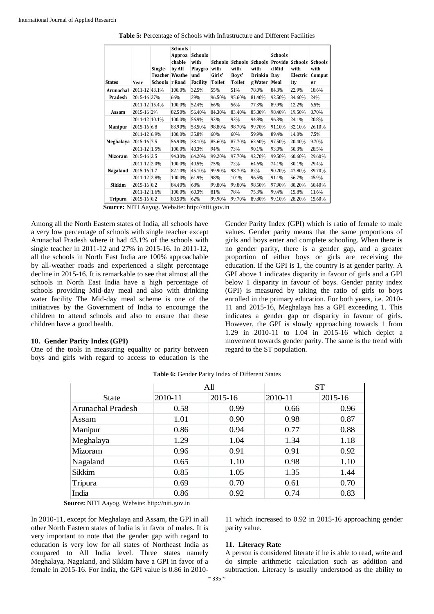| Table 5: Percentage of Schools with Infrastructure and Different Facilities |  |
|-----------------------------------------------------------------------------|--|
|-----------------------------------------------------------------------------|--|

| <b>States</b>         | Year          | Single-<br><b>Teacher</b><br>Schools | <b>Schools</b><br>Approa<br>chable<br>by All<br>Weathe<br>r Road | <b>Schools</b><br>with<br>Playgro<br>und<br>Facility | <b>Schools</b><br>with<br>Girls'<br>Toilet | <b>Schools</b><br>with<br>Boys'<br>Toilet | <b>Schools</b><br>with<br>Drinkin Day<br>g Water | <b>Schools</b><br>Provide<br>d Mid<br>Meal | <b>Schools</b><br>with<br>Electric<br>ity | <b>Schools</b><br>with<br>Comput<br>er |
|-----------------------|---------------|--------------------------------------|------------------------------------------------------------------|------------------------------------------------------|--------------------------------------------|-------------------------------------------|--------------------------------------------------|--------------------------------------------|-------------------------------------------|----------------------------------------|
| Arunachal             | 2011-12 43.1% |                                      | 100.0%                                                           | 32.5%                                                | 55%                                        | 51%                                       | 78.0%                                            | 84.3%                                      | 22.9%                                     | 18.6%                                  |
| Pradesh               | 2015-16 27%   |                                      | 66%                                                              | 39%                                                  | 96.50%                                     | 95.60%                                    | 81.40%                                           | 92.50%                                     | 34.60%                                    | 24%                                    |
|                       | 2011-12 15.4% |                                      | 100.0%                                                           | 52.4%                                                | 66%                                        | 56%                                       | 77.3%                                            | 89.9%                                      | 12.2%                                     | 6.5%                                   |
| Assam                 | 2015-16 2%    |                                      | 82.50%                                                           | 56.40%                                               | 84.30%                                     | 83.40%                                    | 85.80%                                           | 98.40%                                     | 19.50%                                    | 8.70%                                  |
|                       | 2011-12 10.1% |                                      | 100.0%                                                           | 56.9%                                                | 93%                                        | 93%                                       | 94.8%                                            | 96.3%                                      | 24.1%                                     | 20.8%                                  |
| <b>Manipur</b>        | 2015-16 6.8   |                                      | 83.90%                                                           | 53.50%                                               | 98.80%                                     | 98.70%                                    | 99.70%                                           | 91.10%                                     | 32.10%                                    | 26.10%                                 |
|                       | 2011-12 6.9%  |                                      | 100.0%                                                           | 35.8%                                                | 60%                                        | 60%                                       | 59.9%                                            | 89.4%                                      | 14.0%                                     | 7.5%                                   |
| Meghalaya 2015-16 7.5 |               |                                      | 56.90%                                                           | 33.10%                                               | 85.60%                                     | 87.70%                                    | 62.60%                                           | 97.50%                                     | 20.40%                                    | 9.70%                                  |
|                       | 2011-12 1.5%  |                                      | 100.0%                                                           | 40.3%                                                | 94%                                        | 73%                                       | 90.1%                                            | 93.0%                                      | 50.3%                                     | 28.5%                                  |
| Mizoram               | 2015-16 2.5   |                                      | 94.30%                                                           | 64.20%                                               | 99.20%                                     | 97.70%                                    | 92.70%                                           | 99.50%                                     | 60.60%                                    | 29.60%                                 |
|                       | 2011-12 2.0%  |                                      | 100.0%                                                           | 40.5%                                                | 75%                                        | 72%                                       | 64.6%                                            | 74.1%                                      | 30.1%                                     | 29.4%                                  |
| Nagaland              | 2015-16 1.7   |                                      | 82.10%                                                           | 45.10%                                               | 99.90%                                     | 98.70%                                    | 82%                                              | 90.20%                                     | 47.80%                                    | 39.70%                                 |
|                       | 2011-12 2.8%  |                                      | 100.0%                                                           | 61.9%                                                | 98%                                        | 101%                                      | 96.5%                                            | 91.1%                                      | 56.7%                                     | 45.9%                                  |
| Sikkim                | 2015-16 0.2   |                                      | 84.40%                                                           | 68%                                                  | 99.80%                                     | 99.80%                                    | 98.50%                                           | 97.90%                                     | 80.20%                                    | 60.40%                                 |
|                       | 2011-12 1.6%  |                                      | 100.0%                                                           | 60.3%                                                | 81%                                        | 78%                                       | 75.3%                                            | 99.4%                                      | 15.8%                                     | 11.6%                                  |
| Tripura               | 2015-16 0.2   |                                      | 80.50%                                                           | 62%                                                  | 99.90%                                     | 99.70%                                    | 89.80%                                           | 99.10%                                     | 28.20%                                    | 15.60%                                 |

**Source:** NITI Aayog. Website: http://niti.gov.in Source: NITI Aayog. Website: http://niti.gov.in

Among all the North Eastern states of India, all schools have a very low percentage of schools with single teacher except Arunachal Pradesh where it had 43.1% of the schools with single teacher in 2011-12 and 27% in 2015-16. In 2011-12, all the schools in North East India are 100% approachable by all-weather roads and experienced a slight percentage decline in 2015-16. It is remarkable to see that almost all the schools in North East India have a high percentage of schools providing Mid-day meal and also with drinking water facility The Mid-day meal scheme is one of the initiatives by the Government of India to encourage the children to attend schools and also to ensure that these children have a good health.

#### **10. Gender Parity Index (GPI)**

One of the tools in measuring equality or parity between boys and girls with regard to access to education is the

Gender Parity Index (GPI) which is ratio of female to male values. Gender parity means that the same proportions of girls and boys enter and complete schooling. When there is no gender parity, there is a gender gap, and a greater proportion of either boys or girls are receiving the education. If the GPI is 1, the country is at gender parity. A GPI above 1 indicates disparity in favour of girls and a GPI below 1 disparity in favour of boys. Gender parity index (GPI) is measured by taking the ratio of girls to boys enrolled in the primary education. For both years, i.e. 2010- 11 and 2015-16, Meghalaya has a GPI exceeding 1. This indicates a gender gap or disparity in favour of girls. However, the GPI is slowly approaching towards 1 from 1.29 in 2010-11 to 1.04 in 2015-16 which depict a movement towards gender parity. The same is the trend with regard to the ST population.

|                          |         | All     |         | <b>ST</b>   |  |  |
|--------------------------|---------|---------|---------|-------------|--|--|
| <b>State</b>             | 2010-11 | 2015-16 | 2010-11 | $2015 - 16$ |  |  |
| <b>Arunachal Pradesh</b> | 0.58    | 0.99    | 0.66    | 0.96        |  |  |
| Assam                    | 1.01    | 0.90    | 0.98    | 0.87        |  |  |
| Manipur                  | 0.86    | 0.94    | 0.77    | 0.88        |  |  |
| Meghalaya                | 1.29    | 1.04    | 1.34    | 1.18        |  |  |
| Mizoram                  | 0.96    | 0.91    | 0.91    | 0.92        |  |  |
| Nagaland                 | 0.65    | 1.10    | 0.98    | 1.10        |  |  |
| <b>Sikkim</b>            | 0.85    | 1.05    | 1.35    | 1.44        |  |  |
| Tripura                  | 0.69    | 0.70    | 0.61    | 0.70        |  |  |
| India                    | 0.86    | 0.92    | 0.74    | 0.83        |  |  |

Table 6: Gender Parity Index of Different States

**Source:** NITI Aayog. Website: http://niti.gov.in Source: NITI Aayog. Website: http://niti.gov.in

In 2010-11, except for Meghalaya and Assam, the GPI in all other North Eastern states of India is in favor of males. It is very important to note that the gender gap with regard to education is very low for all states of Northeast India as compared to All India level. Three states namely Meghalaya, Nagaland, and Sikkim have a GPI in favor of a female in 2015-16. For India, the GPI value is 0.86 in 2010-

11 which increased to 0.92 in 2015-16 approaching gender parity value.

#### **11. Literacy Rate**

A person is considered literate if he is able to read, write and do simple arithmetic calculation such as addition and subtraction. Literacy is usually understood as the ability to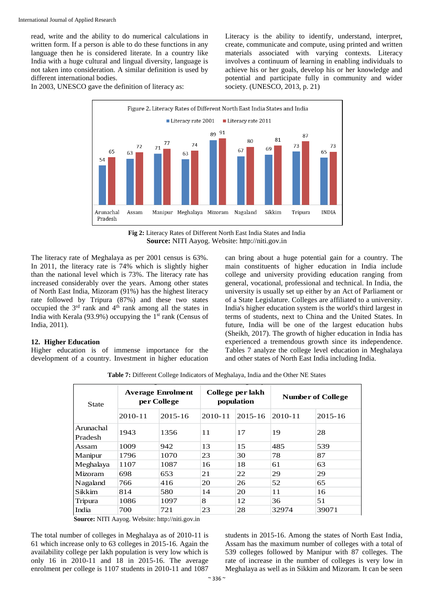read, write and the ability to do numerical calculations in written form. If a person is able to do these functions in any language then he is considered literate. In a country like India with a huge cultural and lingual diversity, language is not taken into consideration. A similar definition is used by different international bodies.

Literacy is the ability to identify, understand, interpret, create, communicate and compute, using printed and written materials associated with varying contexts. Literacy involves a continuum of learning in enabling individuals to achieve his or her goals, develop his or her knowledge and potential and participate fully in community and wider society. (UNESCO, 2013, p. 21)

In 2003, UNESCO gave the definition of literacy as:



**Fig 2:** Literacy Rates of Different North East India States and India **Source:** NITI Aayog. Website: http://niti.gov.in

The literacy rate of Meghalaya as per 2001 census is 63%. In 2011, the literacy rate is 74% which is slightly higher than the national level which is 73%. The literacy rate has increased considerably over the years. Among other states of North East India, Mizoram (91%) has the highest literacy rate followed by Tripura (87%) and these two states occupied the  $3<sup>rd</sup>$  rank and  $4<sup>th</sup>$  rank among all the states in India with Kerala (93.9%) occupying the  $1<sup>st</sup>$  rank (Census of India, 2011).

#### **12. Higher Education**

Higher education is of immense importance for the development of a country. Investment in higher education can bring about a huge potential gain for a country. The main constituents of higher education in India include college and university providing education ranging from general, vocational, professional and technical. In India, the university is usually set up either by an Act of Parliament or of a State Legislature. Colleges are affiliated to a university. India's higher education system is the world's third largest in terms of students, next to China and the United States. In future, India will be one of the largest education hubs (Sheikh, 2017). The growth of higher education in India has experienced a tremendous growth since its independence. Tables 7 analyze the college level education in Meghalaya and other states of North East India including India.

**Table 7:** Different College Indicators of Meghalaya, India and the Other NE States

| <b>State</b>         |             | <b>Average Enrolment</b><br>per College |             | College per lakh<br>population | <b>Number of College</b> |             |  |
|----------------------|-------------|-----------------------------------------|-------------|--------------------------------|--------------------------|-------------|--|
|                      | $2010 - 11$ | $2015 - 16$                             | $2010 - 11$ | $2015 - 16$                    | $2010 - 11$              | $2015 - 16$ |  |
| Arunachal<br>Pradesh | 1943        | 1356                                    | 11          | 17                             | 19                       | 28          |  |
| Assam                | 1009        | 942                                     | 13          | 15                             | 485                      | 539         |  |
| Manipur              | 1796        | 1070                                    | 23          | 30                             | 78                       | 87          |  |
| Meghalaya            | 1107        | 1087                                    | 16          | 18                             | 61                       | 63          |  |
| <b>Mizoram</b>       | 698         | 653                                     | 21          | 22                             | 29                       | 29          |  |
| Nagaland             | 766         | 416                                     | 20          | 26                             | 52                       | 65          |  |
| Sikkim               | 814         | 580                                     | 14          | 20                             | 11                       | 16          |  |
| Tripura              | 1086        | 1097                                    | 8           | 12                             | 36                       | 51          |  |
| India                | 700         | 721                                     | 23          | 28                             | 32974                    | 39071       |  |

**Source:** NITI Aayog. Website: http://niti.gov.in Source: NITI Aayog. Website: http://niti.gov.in

The total number of colleges in Meghalaya as of 2010-11 is 61 which increase only to 63 colleges in 2015-16. Again the availability college per lakh population is very low which is only 16 in 2010-11 and 18 in 2015-16. The average enrolment per college is 1107 students in 2010-11 and 1087

students in 2015-16. Among the states of North East India, Assam has the maximum number of colleges with a total of 539 colleges followed by Manipur with 87 colleges. The rate of increase in the number of colleges is very low in Meghalaya as well as in Sikkim and Mizoram. It can be seen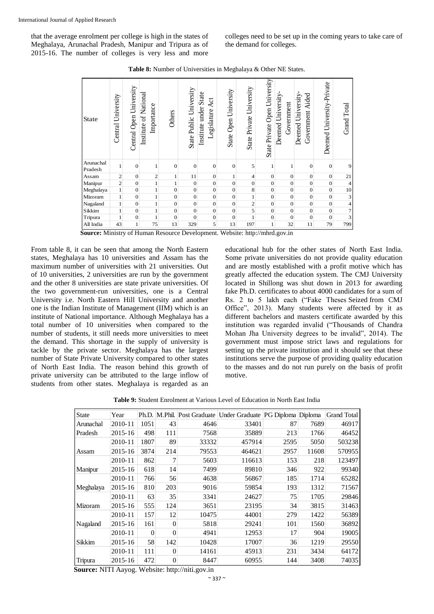that the average enrolment per college is high in the states of Meghalaya, Arunachal Pradesh, Manipur and Tripura as of 2015-16. The number of colleges is very less and more colleges need to be set up in the coming years to take care of the demand for colleges.

| State                | University<br>Central   | Central Open University | Institute of National<br>Importance | Others         | State Public University | Institute under State<br>Act<br>Legislature | State Open University | State Private University | State Private Open University | Deemed University<br>Government | Deemed University-<br>Government Aided | Deemed University-Private | <b>Grand Total</b> |
|----------------------|-------------------------|-------------------------|-------------------------------------|----------------|-------------------------|---------------------------------------------|-----------------------|--------------------------|-------------------------------|---------------------------------|----------------------------------------|---------------------------|--------------------|
| Arunachal<br>Pradesh | $\mathbf{1}$            | $\overline{0}$          | $\mathbf{1}$                        | $\overline{0}$ | $\theta$                | $\mathbf{0}$                                | $\overline{0}$        | 5                        | 1                             | 1                               | $\mathbf{0}$                           | $\boldsymbol{0}$          | 9                  |
| Assam                | $\overline{\mathbf{c}}$ | $\overline{0}$          | $\overline{\mathbf{c}}$             | $\mathbf{1}$   | 11                      | $\mathbf{0}$                                | 1                     | $\overline{\mathcal{L}}$ | $\boldsymbol{0}$              | $\overline{0}$                  | $\overline{0}$                         | $\mathbf{0}$              | 21                 |
| Manipur              | $\overline{c}$          | $\mathbf{0}$            | $\,1$                               | 1              | $\boldsymbol{0}$        | $\mathbf{0}$                                | $\mathbf{0}$          | $\mathbf{0}$             | $\boldsymbol{0}$              | $\boldsymbol{0}$                | $\mathbf{0}$                           | $\mathbf{0}$              | $\overline{4}$     |
| Meghalaya            | $\mathbf 1$             | $\overline{0}$          | $\overline{1}$                      | $\overline{0}$ | $\mathbf{0}$            | $\overline{0}$                              | $\overline{0}$        | 8                        | $\overline{0}$                | $\boldsymbol{0}$                | $\overline{0}$                         | $\overline{0}$            | $\frac{10}{3}$     |
| Mizoram              | $\,1$                   | $\mathbf{0}$            | $\mathbf{1}$                        | $\overline{0}$ | $\boldsymbol{0}$        | $\overline{0}$                              | $\overline{0}$        | $\mathbf{1}$             | $\boldsymbol{0}$              | $\boldsymbol{0}$                | $\boldsymbol{0}$                       | $\mathbf{0}$              |                    |
| Nagaland             | $\,1$                   | $\mathbf{0}$            | $\,$ $\,$                           | $\mathbf{0}$   | $\mathbf{0}$            | $\mathbf{0}$                                | $\boldsymbol{0}$      | $\overline{c}$           | $\boldsymbol{0}$              | $\boldsymbol{0}$                | $\boldsymbol{0}$                       | $\mathbf{0}$              | $\overline{4}$     |
| Sikkim               | $\mathbf{1}$            | $\overline{0}$          | $\overline{1}$                      | $\overline{0}$ | $\mathbf{0}$            | $\overline{0}$                              | $\overline{0}$        | 5                        | $\overline{0}$                | $\overline{0}$                  | $\overline{0}$                         | $\overline{0}$            | $\overline{7}$     |
| Tripura              | $\mathbf{1}$            | $\mathbf{0}$            | $\,1$                               | $\overline{0}$ | $\mathbf{0}$            | $\boldsymbol{0}$                            | $\overline{0}$        | 1                        | $\boldsymbol{0}$              | $\overline{0}$                  | $\mathbf{0}$                           | $\overline{0}$            | 3                  |
| All India            | 43                      | $\mathbf{1}$            | 75                                  | 13             | 329                     | 5                                           | 13                    | 197                      | $\mathbf 1$                   | 32                              | 11                                     | 79                        | 799                |

**Table 8:** Number of Universities in Meghalaya & Other NE States.

**Source:** Ministry of Human Resource Development. Website: http://mhrd.gov.in Source: Ministry of Human Resource Development. Website: http://mhrd.gov.in.

From table 8, it can be seen that among the North Eastern states, Meghalaya has 10 universities and Assam has the maximum number of universities with 21 universities. Out of 10 universities, 2 universities are run by the government and the other 8 universities are state private universities. Of the two government-run universities, one is a Central University i.e. North Eastern Hill University and another one is the Indian Institute of Management (IIM) which is an institute of National importance. Although Meghalaya has a total number of 10 universities when compared to the number of students, it still needs more universities to meet the demand. This shortage in the supply of university is tackle by the private sector. Meghalaya has the largest number of State Private University compared to other states of North East India. The reason behind this growth of private university can be attributed to the large inflow of students from other states. Meghalaya is regarded as an educational hub for the other states of North East India. Some private universities do not provide quality education and are mostly established with a profit motive which has greatly affected the education system. The CMJ University located in Shillong was shut down in 2013 for awarding fake Ph.D. certificates to about 4000 candidates for a sum of Rs. 2 to 5 lakh each ("Fake Theses Seized from CMJ Office", 2013). Many students were affected by it as different bachelors and masters certificate awarded by this institution was regarded invalid ("Thousands of Chandra Mohan Jha University degrees to be invalid", 2014). The government must impose strict laws and regulations for setting up the private institution and it should see that these institutions serve the purpose of providing quality education to the masses and do not run purely on the basis of profit motive.

**Table 9:** Student Enrolment at Various Level of Education in North East India

| State     | Year        | Ph.D.    |                |       | M.Phil. Post Graduate Under Graduate PG Diploma Diploma |      |       | <b>Grand Total</b> |
|-----------|-------------|----------|----------------|-------|---------------------------------------------------------|------|-------|--------------------|
| Arunachal | 2010-11     | 1051     | 43             | 4646  | 33401                                                   | 87   | 7689  | 46917              |
| Pradesh   | $2015 - 16$ | 498      | 111            | 7568  | 35889                                                   | 213  | 1766  | 46452              |
|           | 2010-11     | 1807     | 89             | 33332 | 457914                                                  | 2595 | 5050  | 503238             |
| Assam     | 2015-16     | 3874     | 214            | 79553 | 464621                                                  | 2957 | 11608 | 570955             |
|           | 2010-11     | 862      | 7              | 5603  | 116613                                                  | 153  | 218   | 123497             |
| Manipur   | 2015-16     | 618      | 14             | 7499  | 89810                                                   | 346  | 922   | 99340              |
|           | 2010-11     | 766      | 56             | 4638  | 56867                                                   | 185  | 1714  | 65282              |
| Meghalaya | 2015-16     | 810      | 203            | 9016  | 59854                                                   | 193  | 1312  | 71567              |
|           | 2010-11     | 63       | 35             | 3341  | 24627                                                   | 75   | 1705  | 29846              |
| Mizoram   | 2015-16     | 555      | 124            | 3651  | 23195                                                   | 34   | 3815  | 31463              |
|           | 2010-11     | 157      | 12             | 10475 | 44001                                                   | 279  | 1422  | 56389              |
| Nagaland  | 2015-16     | 161      | $\Omega$       | 5818  | 29241                                                   | 101  | 1560  | 36892              |
|           | 2010-11     | $\Omega$ | $\Omega$       | 4941  | 12953                                                   | 17   | 904   | 19005              |
| Sikkim    | 2015-16     | 58       | 142            | 10428 | 17007                                                   | 36   | 1219  | 29550              |
|           | 2010-11     | 111      | 0              | 14161 | 45913                                                   | 231  | 3434  | 64172              |
| Tripura   | 2015-16     | 472      | $\overline{0}$ | 8447  | 60955                                                   | 144  | 3408  | 74035              |

**Source:** NITI Aayog. Website: http://niti.gov.in Source: NITI Aayog. Website: http://niti.gov.in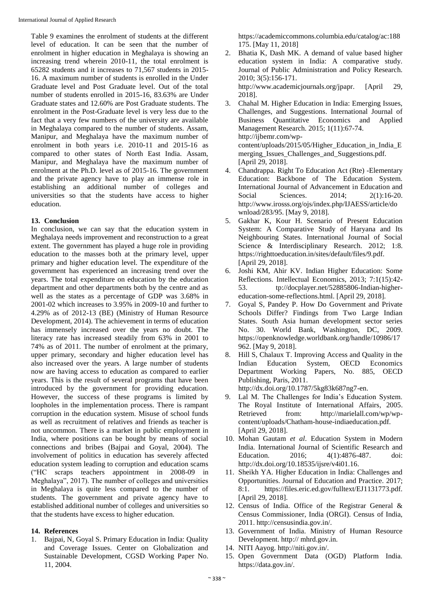Table 9 examines the enrolment of students at the different level of education. It can be seen that the number of enrolment in higher education in Meghalaya is showing an increasing trend wherein 2010-11, the total enrolment is 65282 students and it increases to 71,567 students in 2015- 16. A maximum number of students is enrolled in the Under Graduate level and Post Graduate level. Out of the total number of students enrolled in 2015-16, 83.63% are Under Graduate states and 12.60% are Post Graduate students. The enrolment in the Post-Graduate level is very less due to the fact that a very few numbers of the university are available in Meghalaya compared to the number of students. Assam, Manipur, and Meghalaya have the maximum number of enrolment in both years i.e. 2010-11 and 2015-16 as compared to other states of North East India. Assam, Manipur, and Meghalaya have the maximum number of enrolment at the Ph.D. level as of 2015-16. The government and the private agency have to play an immense role in establishing an additional number of colleges and universities so that the students have access to higher education.

#### **13. Conclusion**

In conclusion, we can say that the education system in Meghalaya needs improvement and reconstruction to a great extent. The government has played a huge role in providing education to the masses both at the primary level, upper primary and higher education level. The expenditure of the government has experienced an increasing trend over the years. The total expenditure on education by the education department and other departments both by the centre and as well as the states as a percentage of GDP was 3.68% in 2001-02 which increases to 3.95% in 2009-10 and further to 4.29% as of 2012-13 (BE) (Ministry of Human Resource Development, 2014). The achievement in terms of education has immensely increased over the years no doubt. The literacy rate has increased steadily from 63% in 2001 to 74% as of 2011. The number of enrolment at the primary, upper primary, secondary and higher education level has also increased over the years. A large number of students now are having access to education as compared to earlier years. This is the result of several programs that have been introduced by the government for providing education. However, the success of these programs is limited by loopholes in the implementation process. There is rampant corruption in the education system. Misuse of school funds as well as recruitment of relatives and friends as teacher is not uncommon. There is a market in public employment in India, where positions can be bought by means of social connections and bribes (Bajpai and Goyal, 2004). The involvement of politics in education has severely affected education system leading to corruption and education scams ("HC scraps teachers appointment in 2008-09 in Meghalaya", 2017). The number of colleges and universities in Meghalaya is quite less compared to the number of students. The government and private agency have to established additional number of colleges and universities so that the students have excess to higher education.

## **14. References**

1. Bajpai, N, Goyal S. Primary Education in India: Quality and Coverage Issues. Center on Globalization and Sustainable Development, CGSD Working Paper No. 11, 2004.

https://academiccommons.columbia.edu/catalog/ac:188 175. [May 11, 2018]

- 2. Bhatia K, Dash MK. A demand of value based higher education system in India: A comparative study. Journal of Public Administration and Policy Research. 2010; 3(5):156-171. http://www.academicjournals.org/jpapr. [April 29, 2018].
- 3. Chahal M. Higher Education in India: Emerging Issues, Challenges, and Suggestions. International Journal of Business Quantitative Economics and Applied Management Research. 2015; 1(11):67-74. http://ijbemr.com/wpcontent/uploads/2015/05/Higher\_Education\_in\_India\_E merging\_Issues\_Challenges\_and\_Suggestions.pdf. [April 29, 2018].
- 4. Chandrappa. Right To Education Act (Rte) -Elementary Education: Backbone of The Education System. International Journal of Advancement in Education and Social Sciences. 2014; 2(1):16-20. http://www.irosss.org/ojs/index.php/IJAESS/article/do wnload/283/95. [May 9, 2018].
- 5. Gakhar K, Kour H. Scenario of Present Education System: A Comparative Study of Haryana and Its Neighbouring States. International Journal of Social Science & Interdisciplinary Research. 2012; 1:8. https://righttoeducation.in/sites/default/files/9.pdf. [April 29, 2018].
- 6. Joshi KM, Ahir KV. Indian Higher Education: Some Reflections. Intellectual Economics, 2013; 7:1(15):42- 53. tp://docplayer.net/52885806-Indian-highereducation-some-reflections.html. [April 29, 2018].
- 7. Goyal S, Pandey P. How Do Government and Private Schools Differ? Findings from Two Large Indian States. South Asia human development sector series No. 30. World Bank, Washington, DC, 2009. https://openknowledge.worldbank.org/handle/10986/17 962. [May 9, 2018].
- 8. Hill S, Chalaux T. Improving Access and Quality in the Indian Education System, OECD Economics Department Working Papers, No. 885, OECD Publishing, Paris, 2011. http://dx.doi.org/10.1787/5kg83k687ng7-en.

9. Lal M. The Challenges for India's Education System. The Royal Institute of International Affairs, 2005. Retrieved from: http://marielall.com/wp/wpcontent/uploads/Chatham-house-indiaeducation.pdf. [April 29, 2018].

- 10. Mohan Gautam *et al*. Education System in Modern India. International Journal of Scientific Research and Education. 2016; 4(1):4876-487. doi: http://dx.doi.org/10.18535/ijsre/v4i01.16.
- 11. Sheikh YA. Higher Education in India: Challenges and Opportunities. Journal of Education and Practice. 2017; 8:1. https://files.eric.ed.gov/fulltext/EJ1131773.pdf. [April 29, 2018].
- 12. Census of India. Office of the Registrar General & Census Commissioner, India (ORGI). Census of India, 2011. http://censusindia.gov.in/.
- 13. Government of India. Ministry of Human Resource Development. http:// mhrd.gov.in.
- 14. NITI Aayog. http://niti.gov.in/.
- 15. Open Government Data (OGD) Platform India. https://data.gov.in/.